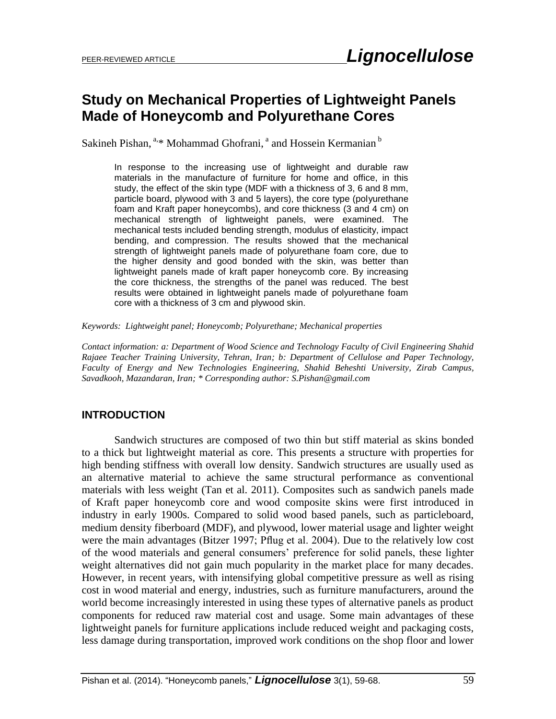### **Study on Mechanical Properties of Lightweight Panels Made of Honeycomb and Polyurethane Cores**

Sakineh Pishan, <sup>a,\*</sup> Mohammad Ghofrani, <sup>a</sup> and Hossein Kermanian <sup>b</sup>

In response to the increasing use of lightweight and durable raw materials in the manufacture of furniture for home and office, in this study, the effect of the skin type (MDF with a thickness of 3, 6 and 8 mm, particle board, plywood with 3 and 5 layers), the core type (polyurethane foam and Kraft paper honeycombs), and core thickness (3 and 4 cm) on mechanical strength of lightweight panels, were examined. The mechanical tests included bending strength, modulus of elasticity, impact bending, and compression. The results showed that the mechanical strength of lightweight panels made of polyurethane foam core, due to the higher density and good bonded with the skin, was better than lightweight panels made of kraft paper honeycomb core. By increasing the core thickness, the strengths of the panel was reduced. The best results were obtained in lightweight panels made of polyurethane foam core with a thickness of 3 cm and plywood skin.

*Keywords: Lightweight panel; Honeycomb; Polyurethane; Mechanical properties*

*Contact information: a: Department of Wood Science and Technology Faculty of Civil Engineering Shahid Rajaee Teacher Training University, Tehran, Iran; b: Department of Cellulose and Paper Technology, Faculty of Energy and New Technologies Engineering, Shahid Beheshti University, Zirab Campus, Savadkooh, Mazandaran, Iran; \* Corresponding author: S.Pishan@gmail.com*

#### **INTRODUCTION**

Sandwich structures are composed of two thin but stiff material as skins bonded to a thick but lightweight material as core. This presents a structure with properties for high bending stiffness with overall low density. Sandwich structures are usually used as an alternative material to achieve the same structural performance as conventional materials with less weight (Tan et al. 2011). Composites such as sandwich panels made of Kraft paper honeycomb core and wood composite skins were first introduced in industry in early 1900s. Compared to solid wood based panels, such as particleboard, medium density fiberboard (MDF), and plywood, lower material usage and lighter weight were the main advantages (Bitzer 1997; Pflug et al. 2004). Due to the relatively low cost of the wood materials and general consumers' preference for solid panels, these lighter weight alternatives did not gain much popularity in the market place for many decades. However, in recent years, with intensifying global competitive pressure as well as rising cost in wood material and energy, industries, such as furniture manufacturers, around the world become increasingly interested in using these types of alternative panels as product components for reduced raw material cost and usage. Some main advantages of these lightweight panels for furniture applications include reduced weight and packaging costs, less damage during transportation, improved work conditions on the shop floor and lower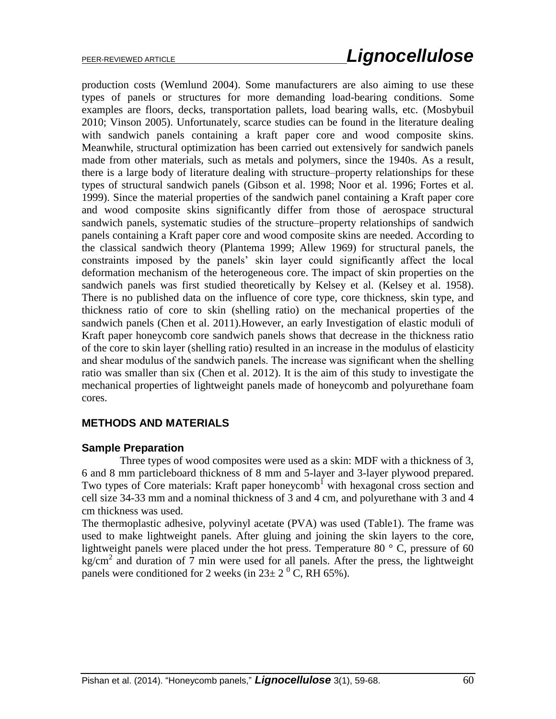production costs (Wemlund 2004). Some manufacturers are also aiming to use these types of panels or structures for more demanding load-bearing conditions. Some examples are floors, decks, transportation pallets, load bearing walls, etc. (Mosbybuil 2010; Vinson 2005). Unfortunately, scarce studies can be found in the literature dealing with sandwich panels containing a kraft paper core and wood composite skins. Meanwhile, structural optimization has been carried out extensively for sandwich panels made from other materials, such as metals and polymers, since the 1940s. As a result, there is a large body of literature dealing with structure–property relationships for these types of structural sandwich panels (Gibson et al. 1998; Noor et al. 1996; Fortes et al. 1999). Since the material properties of the sandwich panel containing a Kraft paper core and wood composite skins significantly differ from those of aerospace structural sandwich panels, systematic studies of the structure–property relationships of sandwich panels containing a Kraft paper core and wood composite skins are needed. According to the classical sandwich theory (Plantema 1999; Allew 1969) for structural panels, the constraints imposed by the panels' skin layer could significantly affect the local deformation mechanism of the heterogeneous core. The impact of skin properties on the sandwich panels was first studied theoretically by Kelsey et al. (Kelsey et al. 1958). There is no published data on the influence of core type, core thickness, skin type, and thickness ratio of core to skin (shelling ratio) on the mechanical properties of the sandwich panels (Chen et al. 2011).However, an early Investigation of elastic moduli of Kraft paper honeycomb core sandwich panels shows that decrease in the thickness ratio of the core to skin layer (shelling ratio) resulted in an increase in the modulus of elasticity and shear modulus of the sandwich panels. The increase was significant when the shelling ratio was smaller than six (Chen et al. 2012). It is the aim of this study to investigate the mechanical properties of lightweight panels made of honeycomb and polyurethane foam cores.

### **METHODS AND MATERIALS**

#### **Sample Preparation**

 Three types of wood composites were used as a skin: MDF with a thickness of 3, 6 and 8 mm particleboard thickness of 8 mm and 5-layer and 3-layer plywood prepared. Two types of Core materials: Kraft paper honeycomb<sup>1</sup> with hexagonal cross section and cell size 34-33 mm and a nominal thickness of 3 and 4 cm, and polyurethane with 3 and 4 cm thickness was used.

The thermoplastic adhesive, polyvinyl acetate (PVA) was used (Table1). The frame was used to make lightweight panels. After gluing and joining the skin layers to the core, lightweight panels were placed under the hot press. Temperature 80 °C, pressure of 60  $kg/cm<sup>2</sup>$  and duration of 7 min were used for all panels. After the press, the lightweight panels were conditioned for 2 weeks (in  $23 \pm 2^{0}$  C, RH 65%).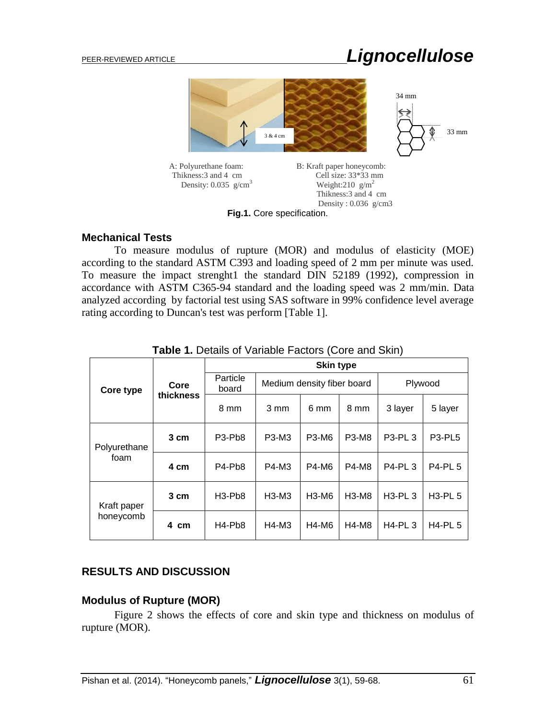# PEER-REVIEWED ARTICLE *Lignocellulose*



**Fig.1.** Core specification.

#### **Mechanical Tests**

To measure modulus of rupture (MOR) and modulus of elasticity (MOE) according to the standard ASTM C393 and loading speed of 2 mm per minute was used. To measure the impact strenght1 the standard DIN 52189 (1992), compression in accordance with ASTM C365-94 standard and the loading speed was 2 mm/min. Data analyzed according by factorial test using SAS software in 99% confidence level average rating according to Duncan's test was perform [Table 1].

| Core type                | Core<br>thickness | <b>Skin type</b>                 |                            |              |              |               |                                 |
|--------------------------|-------------------|----------------------------------|----------------------------|--------------|--------------|---------------|---------------------------------|
|                          |                   | Particle<br>board                | Medium density fiber board |              |              | Plywood       |                                 |
|                          |                   | 8 mm                             | 3 mm                       | 6 mm         | 8 mm         | 3 layer       | 5 layer                         |
| Polyurethane<br>foam     | 3 cm              | P <sub>3</sub> -P <sub>b</sub> 8 | P3-M3                      | P3-M6        | P3-M8        | P3-PL 3       | P <sub>3</sub> -PL <sub>5</sub> |
|                          | 4 cm              | P4-Pb8                           | P4-M3                      | <b>P4-M6</b> | <b>P4-M8</b> | <b>P4-PL3</b> | <b>P4-PL 5</b>                  |
| Kraft paper<br>honeycomb | 3 cm              | $H3-Pb8$                         | $H3-M3$                    | H3-M6        | H3-M8        | $H3-PL3$      | <b>H3-PL 5</b>                  |
|                          | 4 cm              | H4-Pb8                           | $H4-M3$                    | H4-M6        | <b>H4-M8</b> | <b>H4-PL3</b> | $H4-PL5$                        |

**Table 1.** Details of Variable Factors (Core and Skin)

#### **RESULTS AND DISCUSSION**

#### **Modulus of Rupture (MOR)**

Figure 2 shows the effects of core and skin type and thickness on modulus of rupture (MOR).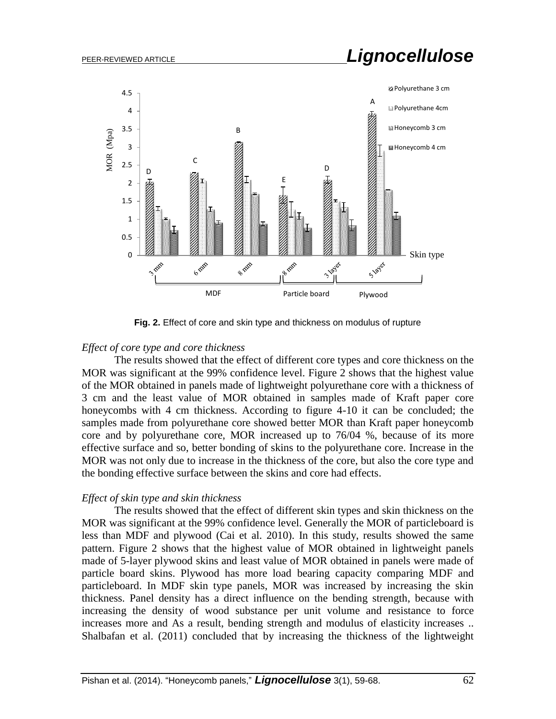# PEER-REVIEWED ARTICLE *Lignocellulose*



**Fig. 2.** Effect of core and skin type and thickness on modulus of rupture

#### *Effect of core type and core thickness*

The results showed that the effect of different core types and core thickness on the MOR was significant at the 99% confidence level. Figure 2 shows that the highest value of the MOR obtained in panels made of lightweight polyurethane core with a thickness of 3 cm and the least value of MOR obtained in samples made of Kraft paper core honeycombs with 4 cm thickness. According to figure 4-10 it can be concluded; the samples made from polyurethane core showed better MOR than Kraft paper honeycomb core and by polyurethane core, MOR increased up to 76/04 %, because of its more effective surface and so, better bonding of skins to the polyurethane core. Increase in the MOR was not only due to increase in the thickness of the core, but also the core type and the bonding effective surface between the skins and core had effects.

#### *Effect of skin type and skin thickness*

The results showed that the effect of different skin types and skin thickness on the MOR was significant at the 99% confidence level. Generally the MOR of particleboard is less than MDF and plywood (Cai et al. 2010). In this study, results showed the same pattern. Figure 2 shows that the highest value of MOR obtained in lightweight panels made of 5-layer plywood skins and least value of MOR obtained in panels were made of particle board skins. Plywood has more load bearing capacity comparing MDF and particleboard. In MDF skin type panels, MOR was increased by increasing the skin thickness. Panel density has a direct influence on the bending strength, because with increasing the density of wood substance per unit volume and resistance to force increases more and As a result, bending strength and modulus of elasticity increases .. Shalbafan et al. (2011) concluded that by increasing the thickness of the lightweight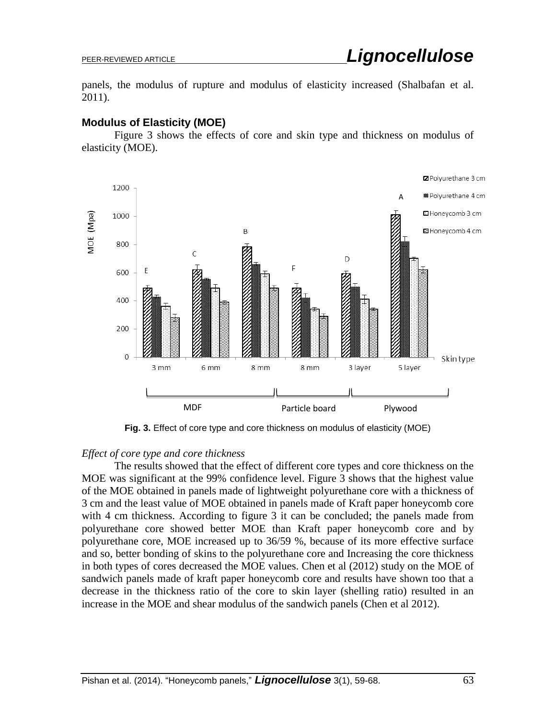panels, the modulus of rupture and modulus of elasticity increased (Shalbafan et al. 2011).

#### **Modulus of Elasticity (MOE)**

Figure 3 shows the effects of core and skin type and thickness on modulus of elasticity (MOE).



**Fig. 3.** Effect of core type and core thickness on modulus of elasticity (MOE)

#### *Effect of core type and core thickness*

The results showed that the effect of different core types and core thickness on the MOE was significant at the 99% confidence level. Figure 3 shows that the highest value of the MOE obtained in panels made of lightweight polyurethane core with a thickness of 3 cm and the least value of MOE obtained in panels made of Kraft paper honeycomb core with 4 cm thickness. According to figure 3 it can be concluded; the panels made from polyurethane core showed better MOE than Kraft paper honeycomb core and by polyurethane core, MOE increased up to 36/59 %, because of its more effective surface and so, better bonding of skins to the polyurethane core and Increasing the core thickness in both types of cores decreased the MOE values. Chen et al (2012) study on the MOE of sandwich panels made of kraft paper honeycomb core and results have shown too that a decrease in the thickness ratio of the core to skin layer (shelling ratio) resulted in an increase in the MOE and shear modulus of the sandwich panels (Chen et al 2012).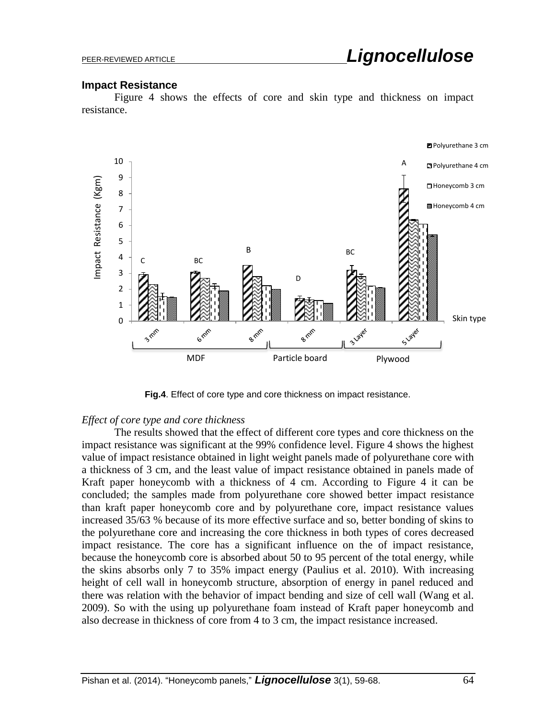#### **Impact Resistance**

Figure 4 shows the effects of core and skin type and thickness on impact resistance.



**Fig.4**. Effect of core type and core thickness on impact resistance.

#### *Effect of core type and core thickness*

The results showed that the effect of different core types and core thickness on the impact resistance was significant at the 99% confidence level. Figure 4 shows the highest value of impact resistance obtained in light weight panels made of polyurethane core with a thickness of 3 cm, and the least value of impact resistance obtained in panels made of Kraft paper honeycomb with a thickness of 4 cm. According to Figure 4 it can be concluded; the samples made from polyurethane core showed better impact resistance than kraft paper honeycomb core and by polyurethane core, impact resistance values increased 35/63 % because of its more effective surface and so, better bonding of skins to the polyurethane core and increasing the core thickness in both types of cores decreased impact resistance. The core has a significant influence on the of impact resistance, because the honeycomb core is absorbed about 50 to 95 percent of the total energy, while the skins absorbs only 7 to 35% impact energy (Paulius et al. 2010). With increasing height of cell wall in honeycomb structure, absorption of energy in panel reduced and there was relation with the behavior of impact bending and size of cell wall [\(Wang](http://www.sciencedirect.com/science/article/pii/S0734743X08000420) et al. 2009). So with the using up polyurethane foam instead of Kraft paper honeycomb and also decrease in thickness of core from 4 to 3 cm, the impact resistance increased.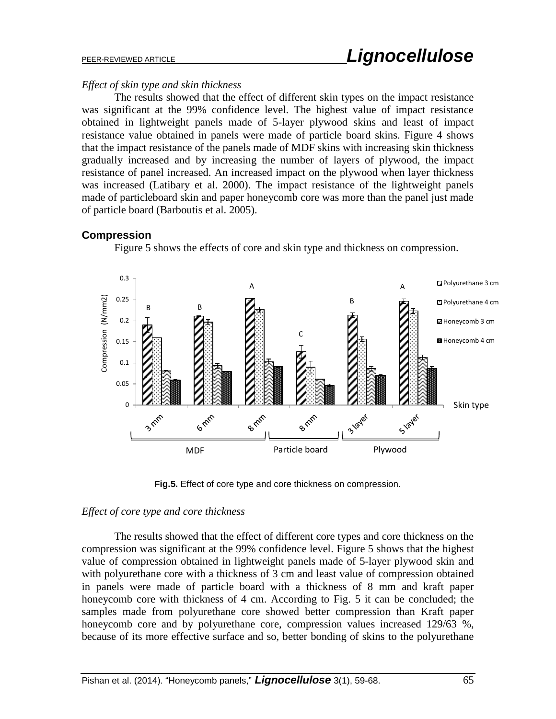#### *Effect of skin type and skin thickness*

The results showed that the effect of different skin types on the impact resistance was significant at the 99% confidence level. The highest value of impact resistance obtained in lightweight panels made of 5-layer plywood skins and least of impact resistance value obtained in panels were made of particle board skins. Figure 4 shows that the impact resistance of the panels made of MDF skins with increasing skin thickness gradually increased and by increasing the number of layers of plywood, the impact resistance of panel increased. An increased impact on the plywood when layer thickness was increased (Latibary et al. 2000). The impact resistance of the lightweight panels made of particleboard skin and paper honeycomb core was more than the panel just made of particle board (Barboutis et al. 2005).

#### **Compression**



Figure 5 shows the effects of core and skin type and thickness on compression.

**Fig.5.** Effect of core type and core thickness on compression.

### *Effect of core type and core thickness*

The results showed that the effect of different core types and core thickness on the compression was significant at the 99% confidence level. Figure 5 shows that the highest value of compression obtained in lightweight panels made of 5-layer plywood skin and with polyurethane core with a thickness of 3 cm and least value of compression obtained in panels were made of particle board with a thickness of 8 mm and kraft paper honeycomb core with thickness of 4 cm. According to Fig. 5 it can be concluded; the samples made from polyurethane core showed better compression than Kraft paper honeycomb core and by polyurethane core, compression values increased 129/63 %, because of its more effective surface and so, better bonding of skins to the polyurethane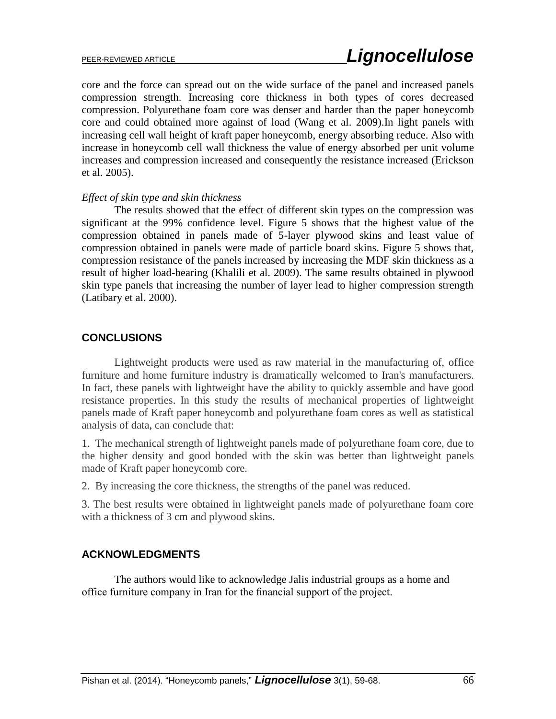core and the force can spread out on the wide surface of the panel and increased panels compression strength. Increasing core thickness in both types of cores decreased compression. Polyurethane foam core was denser and harder than the paper honeycomb core and could obtained more against of load [\(Wang](http://www.sciencedirect.com/science/article/pii/S0734743X08000420) et al. 2009).In light panels with increasing cell wall height of kraft paper honeycomb, energy absorbing reduce. Also with increase in honeycomb cell wall thickness the value of energy absorbed per unit volume increases and compression increased and consequently the resistance increased (Erickson et al. 2005).

#### *Effect of skin type and skin thickness*

The results showed that the effect of different skin types on the compression was significant at the 99% confidence level. Figure 5 shows that the highest value of the compression obtained in panels made of 5-layer plywood skins and least value of compression obtained in panels were made of particle board skins. Figure 5 shows that, compression resistance of the panels increased by increasing the MDF skin thickness as a result of higher load-bearing (Khalili et al. 2009). The same results obtained in plywood skin type panels that increasing the number of layer lead to higher compression strength (Latibary et al. 2000).

#### **CONCLUSIONS**

Lightweight products were used as raw material in the manufacturing of, office furniture and home furniture industry is dramatically welcomed to Iran's manufacturers. In fact, these panels with lightweight have the ability to quickly assemble and have good resistance properties. In this study the results of mechanical properties of lightweight panels made of Kraft paper honeycomb and polyurethane foam cores as well as statistical analysis of data, can conclude that:

1. The mechanical strength of lightweight panels made of polyurethane foam core, due to the higher density and good bonded with the skin was better than lightweight panels made of Kraft paper honeycomb core.

2. By increasing the core thickness, the strengths of the panel was reduced.

3. The best results were obtained in lightweight panels made of polyurethane foam core with a thickness of 3 cm and plywood skins.

#### **ACKNOWLEDGMENTS**

The authors would like to acknowledge Jalis industrial groups as a home and office furniture company in Iran for the financial support of the project.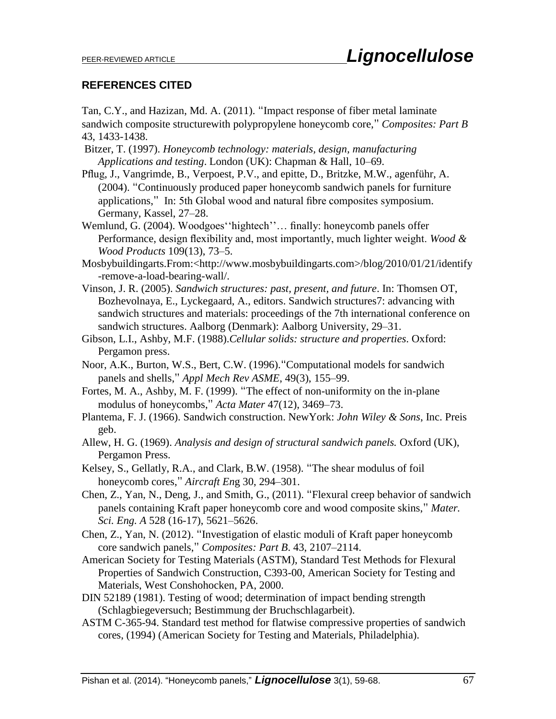#### **REFERENCES CITED**

Tan, C.Y., and Hazizan, Md. A. (2011). "Impact response of fiber metal laminate sandwich composite structurewith polypropylene honeycomb core," *Composites: Part B* 43, 1433-1438.

- Bitzer, T. (1997). *Honeycomb technology: materials, design, manufacturing Applications and testing*. London (UK): Chapman & Hall, 10–69.
- Pflug, J., Vangrimde, B., Verpoest, P.V., and epitte, D., Britzke, M.W., agenführ, A. (2004). "Continuously produced paper honeycomb sandwich panels for furniture applications," In: 5th Global wood and natural fibre composites symposium. Germany, Kassel, 27–28.
- Wemlund, G. (2004). Woodgoes''hightech''… finally: honeycomb panels offer Performance, design flexibility and, most importantly, much lighter weight. *Wood & Wood Products* 109(13), 73–5.
- Mosbybuildingarts.From:<http://www.mosbybuildingarts.com>/blog/2010/01/21/identify -remove-a-load-bearing-wall/.
- Vinson, J. R. (2005). *Sandwich structures: past, present, and future*. In: Thomsen OT, Bozhevolnaya, E., Lyckegaard, A., editors. Sandwich structures7: advancing with sandwich structures and materials: proceedings of the 7th international conference on sandwich structures. Aalborg (Denmark): Aalborg University, 29–31.
- Gibson, L.I., Ashby, M.F. (1988).*Cellular solids: structure and properties*. Oxford: Pergamon press.
- Noor, A.K., Burton, W.S., Bert, C.W. (1996)."Computational models for sandwich panels and shells," *Appl Mech Rev ASME*, 49(3), 155–99.
- Fortes, M. A., Ashby, M. F. (1999). "The effect of non-uniformity on the in-plane modulus of honeycombs," *Acta Mater* 47(12), 3469–73.
- Plantema, F. J. (1966). Sandwich construction. NewYork: *John Wiley & Sons*, Inc. Preis geb.
- Allew, H. G. (1969). *Analysis and design of structural sandwich panels.* Oxford (UK), Pergamon Press.
- Kelsey, S., Gellatly, R.A., and Clark, B.W. (1958). "The shear modulus of foil honeycomb cores," *Aircraft En*g 30, 294–301.
- Chen, Z., Yan, N., Deng, J., and Smith, G., (2011). "Flexural creep behavior of sandwich panels containing Kraft paper honeycomb core and wood composite skins," *Mater. Sci. Eng. A* 528 (16-17), 5621–5626.
- Chen, Z., Yan, N. (2012). "Investigation of elastic moduli of Kraft paper honeycomb core sandwich panels," *Composites: Part B*. 43, 2107–2114.
- American Society for Testing Materials (ASTM), Standard Test Methods for Flexural Properties of Sandwich Construction, C393-00, American Society for Testing and Materials, West Conshohocken, PA, 2000.
- DIN 52189 (1981). Testing of wood; determination of impact bending strength (Schlagbiegeversuch; Bestimmung der Bruchschlagarbeit).
- ASTM C-365-94. Standard test method for flatwise compressive properties of sandwich cores, (1994) (American Society for Testing and Materials, Philadelphia).